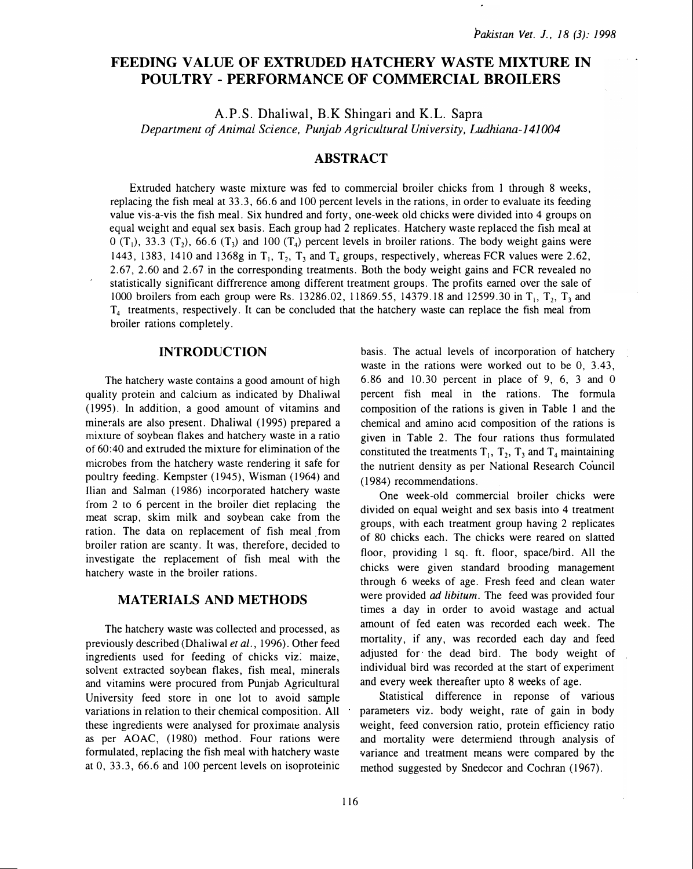# FEEDING VALUE OF EXTRUDED HATCHERY WASTE MIXTURE IN POULTRY- PERFORMANCE OF COMMERCIAL BROILERS

A.P.S. Dhaliwal, B.K Shingari and K.L. Sapra Department of Animal Science, Punjab Agricultural University, Ludhiana-141 004

## ABSTRACT

Extruded hatchery waste mixture was fed to commercial broiler chicks from 1 through 8 weeks, replacing the fish meal at 33.3, 66.6 and 100 percent levels in the rations, in order to evaluate its feeding value vis-a-vis the fish meal. Six hundred and forty, one-week old chicks were divided into 4 groups on equal weight and equal sex basis. Each group had 2 replicates. Hatchery waste replaced the fish meal at  $0$  (T<sub>1</sub>), 33.3 (T<sub>2</sub>), 66.6 (T<sub>3</sub>) and 100 (T<sub>4</sub>) percent levels in broiler rations. The body weight gains were 1443, 1383, 1410 and 1368g in  $T_1$ ,  $T_2$ ,  $T_3$  and  $T_4$  groups, respectively, whereas FCR values were 2.62, 2.67, 2.60 and 2.67 in the corresponding treatments. Both the body weight gains and FCR revealed no statistically significant diffrerence among different treatment groups. The profits earned over the sale of 1000 broilers from each group were Rs. 13286.02, 11869.55, 14379.18 and 12599.30 in  $T_1$ ,  $T_2$ ,  $T_3$  and  $T<sub>4</sub>$  treatments, respectively. It can be concluded that the hatchery waste can replace the fish meal from broiler rations completely.

## INTRODUCTION

The hatchery waste contains a good amount of high quality protein and calcium as indicated by Dhaliwal (1995). In addition, a good amount of vitamins and minerals are also present. Dhaliwal (1995) prepared a mixture of soybean flakes and hatchery waste in a ratio of 60:40 and extruded the mixture for elimination of the microbes from the hatchery waste rendering it safe for poultry feeding. Kempster (1945), Wisman (1964) and Ilian and Salman (1986) incorporated hatchery waste from 2 to 6 percent in the broiler diet replacing the meat scrap, skim milk and soybean cake from the ration. The data on replacement of fish meal from broiler ration are scanty. It was, therefore, decided to investigate the replacement of fish meal with the hatchery waste in the broiler rations.

### MATERIALS AND METHODS

The hatchery waste was collected and processed, as previously described (Dhaliwal et al., 1996). Other feed ingredients used for feeding of chicks viz: maize, solvent extracted soybean flakes, fish meal, minerals and vitamins were procured from Punjab Agricultural University feed store in one lot to avoid sample variations in relation to their chemical composition. All these ingredients were analysed for proximaie analysis as per AOAC, (1980) method. Four rations were formulated, replacing the fish meal with hatchery waste at 0, 33.3, 66.6 and 100 percent levels on isoproteinic basis. The actual levels of incorporation of hatchery waste in the rations were worked out to be 0, 3.43, 6.86 and 10.30 percent in place of 9, 6, 3 and 0 percent fish meal in the rations. The formula composition of the rations is given in Table 1 and the chemical and amino acid composition of the rations is given in Table 2. The four rations thus formulated constituted the treatments  $T_1$ ,  $T_2$ ,  $T_3$  and  $T_4$  maintaining the nutrient density as per National Research Council ( 1984) recommendations.

One week -old commercial broiler chicks were divided on equal weight and sex basis into 4 treatment groups, with each treatment group having 2 replicates of 80 chicks each. The chicks were reared on slatted floor, providing 1 sq. ft. floor, space/bird. All the chicks were given standard brooding management through 6 weeks of age. Fresh feed and clean water were provided *ad libitum*. The feed was provided four times a day in order to avoid wastage and actual amount of fed eaten was recorded each week. The mortality, if any, was recorded each day and feed adjusted for the dead bird. The body weight of individual bird was recorded at the start of experiment and every week thereafter upto 8 weeks of age.

Statistical difference in reponse of various parameters viz. body weight, rate of gain in body weight, feed conversion ratio, protein efficiency ratio and mortality were determiend through analysis of variance and treatment means were compared by the method suggested by Snedecor and Cochran (1967).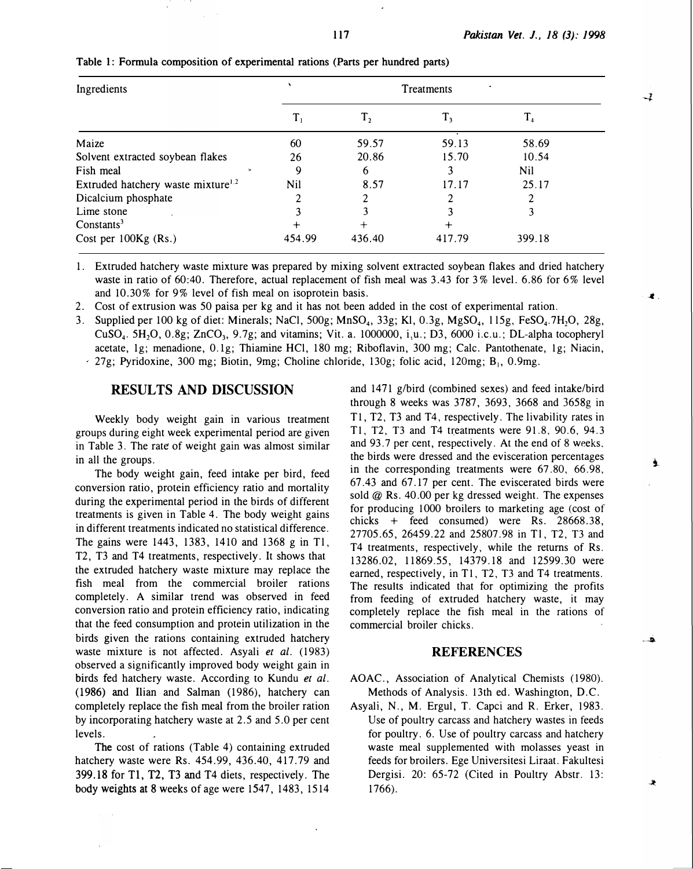| Ingredients                                    | Treatments       |        |         |             |  |
|------------------------------------------------|------------------|--------|---------|-------------|--|
|                                                | $\mathbf{I}_{1}$ | т,     | $T_{3}$ | $\rm T_{4}$ |  |
| Maize                                          | 60               | 59.57  | 59.13   | 58.69       |  |
| Solvent extracted soybean flakes               | 26               | 20.86  | 15.70   | 10.54       |  |
| Fish meal                                      | 9                | 6      |         | Nil         |  |
| Extruded hatchery waste mixture <sup>1.2</sup> | Nil              | 8.57   | 17.17   | 25.17       |  |
| Dicalcium phosphate                            |                  |        |         |             |  |
| Lime stone                                     |                  |        |         | 3           |  |
| Constants <sup>3</sup>                         |                  | $^{+}$ | $\div$  |             |  |
| Cost per $100Kg$ (Rs.)                         | 454.99           | 436.40 | 417.79  | 399.18      |  |

#### Table 1: Formula composition of experimental rations (Parts per hundred parts)

1. Extruded hatchery waste mixture was prepared by mixing solvent extracted soybean flakes and dried hatchery waste in ratio of 60:40. Therefore, actual replacement of fish meal was 3.43 for 3% level. 6.86 for 6% level and 10.30% for 9% level of fish meal on isoprotein basis.

2. Cost of extrusion was 50 paisa per kg and it has not been added in the cost of experimental ration.

3. Supplied per 100 kg of diet: Minerals; NaCl, 500g; MnSO<sub>4</sub>, 33g; Kl, 0.3g, MgSO<sub>4</sub>, 115g, FeSO<sub>4</sub>.7H<sub>2</sub>O, 28g, CuSO<sub>4</sub>. 5H<sub>2</sub>O, 0.8g; ZnCO<sub>3</sub>, 9.7g; and vitamins; Vit. a. 1000000, i.u.; D3, 6000 i.c.u.; DL-alpha tocopheryl acetate, 1g; menadione, 0.1g; Thiamine HCl, 180 mg; Riboflavin, 300 mg; Calc. Pantothenate, 1g; Niacin,  $-27g$ ; Pyridoxine, 300 mg; Biotin, 9mg; Choline chloride, 130g; folic acid, 120mg; B<sub>1</sub>, 0.9mg.

## RESULTS AND DISCUSSION

Weekly body weight gain in various treatment groups during eight week experimental period are given in Table 3. The rate of weight gain was almost similar in all the groups.

The body weight gain, feed intake per bird, feed conversion ratio, protein efficiency ratio and mortality during the experimental period in the birds of different treatments is given in Table 4. The body weight gains in different treatments indicated no statistical difference. The gains were 1443, 1383, 1410 and 1368 g in Tl, T2, T3 and T4 treatments, respectively. It shows that the extruded hatchery waste mixture may replace the fish meal from the commercial broiler rations completely. A similar trend was observed in feed conversion ratio and protein efficiency ratio, indicating that the feed consumption and protein utilization in the birds given the rations containing extruded hatchery waste mixture is not affected. Asyali et al. (1983) observed a significantly improved body weight gain in birds fed hatchery waste. According to Kundu et al. ( 1986) and Ilian and Salman ( 1986), hatchery can completely replace the fish meal from the broiler ration by incorporating hatchery waste at 2. 5 and 5. 0 per cent levels.

The cost of rations (Table 4) containing extruded hatchery waste were Rs. 454.99, 436.40, 417.79 and 399.18 for Tl, T2, T3 and T4 diets, respectively. The body weights at 8 weeks of age were  $1547$ ,  $1483$ ,  $1514$ 

and 1471 g/bird (combined sexes) and feed intake/bird through 8 weeks was 3787, 3693, 3668 and 3658g in T1, T2, T3 and T4, respectively. The livability rates in T1, T2, T3 and T4 treatments were 91.8, 90.6, 94.3 and 93.7 per cent, respectively. At the end of 8 weeks, the birds were dressed and the evisceration percentages in the corresponding treatments were  $67.80, 66.98$ , 67.43 and 67.17 per cent. The eviscerated birds were sold  $@$  Rs. 40.00 per kg dressed weight. The expenses for producing 1000 broilers to marketing age (cost of chicks + feed consumed) were Rs. 28668.38, 27705.65, 26459.22 and 25807.98 in Tl, T2, T3 and T4 treatments, respectively, while the returns of Rs. 13286.02, 11869.55, 14379.18 and 12599.30 were earned, respectively, in T1, T2, T3 and T4 treatments. The results indicated that for optimizing the profits from feeding of extruded hatchery waste, it may completely replace the fish meal in the rations of commercial broiler chicks.

#### **REFERENCES**

AOAC., Association of Analytical Chemists (1980). Methods of Analysis. 13th ed. Washington, D.C.

Asyali, N., M. Ergul, T. Capci and R. Erker, 1983. Use of poultry carcass and hatchery wastes in feeds for poultry. 6. Use of poultry carcass and hatchery waste meal supplemented with molasses yeast in feeds for broilers. Ege Universitesi Liraat. Fakultesi Dergisi. 20: 65-72 (Cited in Poultry Abstr. 13: 1766).

 $\rightarrow$ 

ف.

Æ,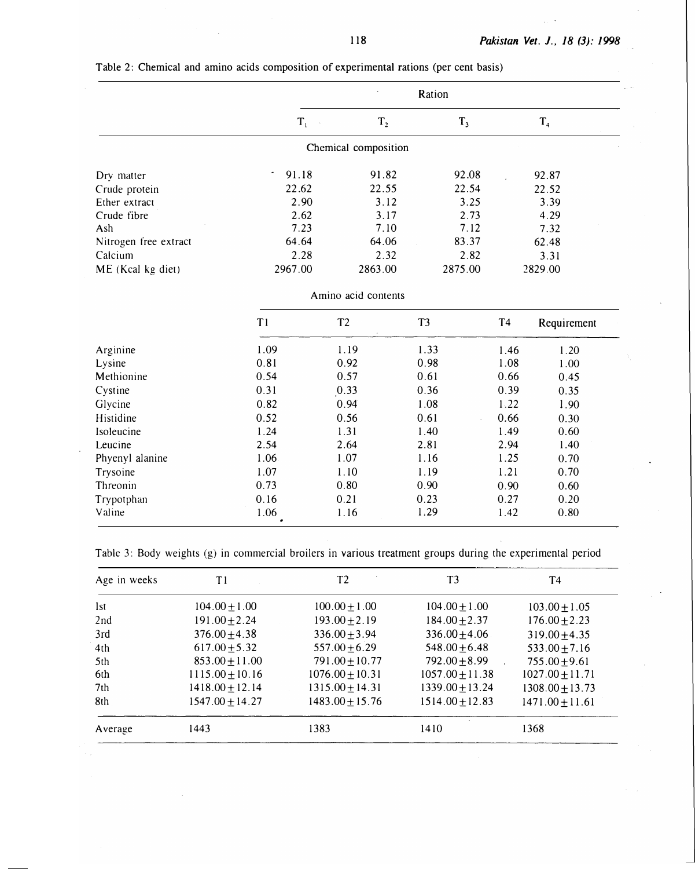|                       | Ration<br>٠                  |                      |                |                |
|-----------------------|------------------------------|----------------------|----------------|----------------|
|                       | $T_{1}$                      | T <sub>2</sub>       | T <sub>3</sub> | T <sub>4</sub> |
|                       |                              | Chemical composition |                |                |
| Dry matter            | 91.18<br>$\sigma_{\rm{eff}}$ | 91.82                | 92.08          | 92.87          |
| Crude protein         | 22.62                        | 22.55                | 22.54          | 22.52          |
| Ether extract         | 2.90                         | 3.12                 | 3.25           | 3.39           |
| Crude fibre           | 2.62                         | 3.17                 | 2.73           | 4.29           |
| Ash                   | 7.23                         | 7.10                 | 7.12           | 7.32           |
| Nitrogen free extract | 64.64                        | 64.06                | 83.37          | 62.48          |
| Calcium               | 2.28                         | 2.32                 | 2.82           | 3.31           |
| ME (Kcal kg diet)     | 2967.00                      | 2863.00              | 2875.00        | 2829.00        |

Table 2: Chemical and amino acids composition of experimental rations (per cent basis)

Amino acid contents

|                 | T1   | T <sub>2</sub> | T <sub>3</sub> | T <sub>4</sub> | Requirement |
|-----------------|------|----------------|----------------|----------------|-------------|
| Arginine        | 1.09 | 1.19           | 1.33           | 1.46           | 1.20        |
| Lysine          | 0.81 | 0.92           | 0.98           | 1.08           | 1.00        |
| Methionine      | 0.54 | 0.57           | 0.61           | 0.66           | 0.45        |
| Cystine         | 0.31 | 0.33           | 0.36           | 0.39           | 0.35        |
| Glycine         | 0.82 | 0.94           | 1.08           | 1.22           | 1.90        |
| Histidine       | 0.52 | 0.56           | 0.61           | 0.66           | 0.30        |
| Isoleucine      | 1.24 | 1.31           | 1.40           | 1.49           | 0.60        |
| Leucine         | 2.54 | 2.64           | 2.81           | 2.94           | 1.40        |
| Phyenyl alanine | 1.06 | 1.07           | 1.16           | 1.25           | 0.70        |
| Trysoine        | 1.07 | 1.10           | 1.19           | 1.21           | 0.70        |
| Threonin        | 0.73 | 0.80           | 0.90           | 0.90           | 0.60        |
| Trypotphan      | 0.16 | 0.21           | 0.23           | 0.27           | 0.20        |
| Valine          | 1.06 | 1.16           | 1.29           | 1.42           | 0.80        |

Table 3: Body weights (g) in commercial broilers in various treatment groups during the experimental period

| Age in weeks    | T1                  | T <sub>2</sub>      | T <sub>3</sub>      | T <sub>4</sub>      |
|-----------------|---------------------|---------------------|---------------------|---------------------|
| <b>Ist</b>      | $104.00 \pm 1.00$   | $100.00 \pm 1.00$   | $104.00 \pm 1.00$   | $103.00 \pm 1.05$   |
| 2nd             | $191.00 \pm 2.24$   | $193.00 \pm 2.19$   | $184.00 \pm 2.37$   | $176.00 \pm 2.23$   |
| 3rd             | $376.00 \pm 4.38$   | $336.00 \pm 3.94$   | $336.00 \pm 4.06$   | $319.00 + 4.35$     |
| 4th             | $617.00 \pm 5.32$   | $557.00 \pm 6.29$   | $548.00 \pm 6.48$   | $533.00 \pm 7.16$   |
| 5th             | $853.00 \pm 11.00$  | $791.00 \pm 10.77$  | $792.00 + 8.99$     | $755.00 \pm 9.61$   |
| 6th             | $1115.00 \pm 10.16$ | $1076.00 \pm 10.31$ | $1057.00 \pm 11.38$ | $1027.00 \pm 11.71$ |
| 7 <sub>th</sub> | $1418.00 \pm 12.14$ | $1315.00 \pm 14.31$ | $1339.00 \pm 13.24$ | $1308.00 \pm 13.73$ |
| 8th             | $1547.00 \pm 14.27$ | $1483.00 + 15.76$   | $1514.00 + 12.83$   | $1471.00 \pm 11.61$ |
| Average         | 1443                | 1383                | 1410                | 1368                |